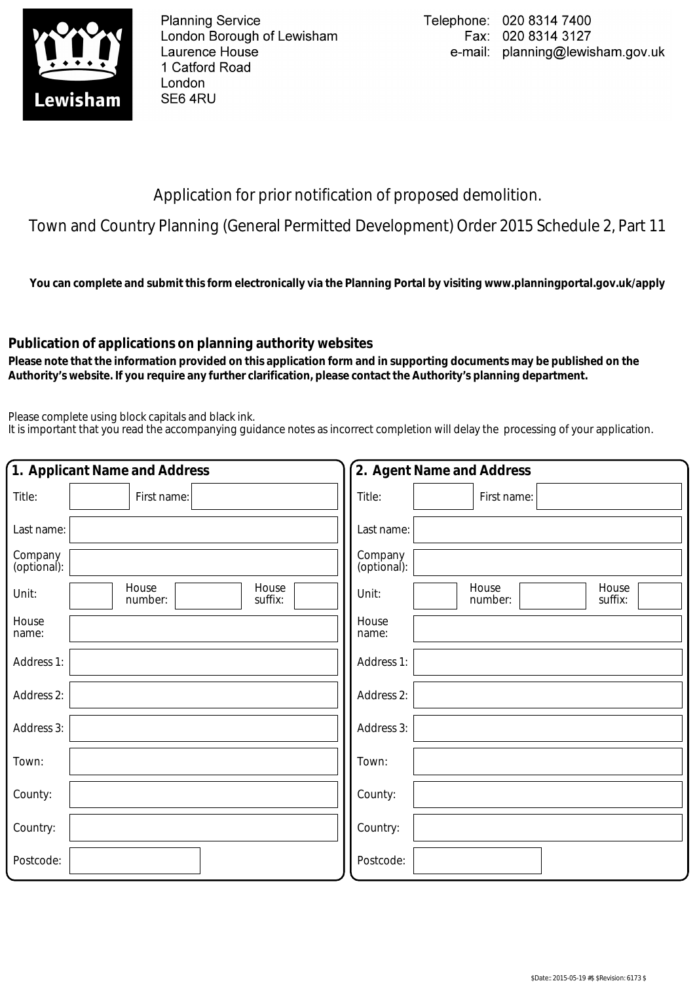

**Planning Service** London Borough of Lewisham Laurence House 1 Catford Road London SE64RU

Application for prior notification of proposed demolition.

Town and Country Planning (General Permitted Development) Order 2015 Schedule 2, Part 11

**You can complete and submit this form electronically via the Planning Portal by visiting www.planningportal.gov.uk/apply**

## **Publication of applications on planning authority websites**

 **Please note that the information provided on this application form and in supporting documents may be published on the Authority's website. If you require any further clarification, please contact the Authority's planning department.**

Please complete using block capitals and black ink.

It is important that you read the accompanying guidance notes as incorrect completion will delay the processing of your application.

| 1. Applicant Name and Address                 | 2. Agent Name and Address                     |
|-----------------------------------------------|-----------------------------------------------|
| Title:<br>First name:                         | Title:<br>First name:                         |
| Last name:                                    | Last name:                                    |
| Company<br>(optional):                        | Company<br>(optional):                        |
| House<br>House<br>Unit:<br>suffix:<br>number: | House<br>House<br>Unit:<br>suffix:<br>number: |
| House<br>name:                                | House<br>name:                                |
| Address 1:                                    | Address 1:                                    |
| Address 2:                                    | Address 2:                                    |
| Address 3:                                    | Address 3:                                    |
| Town:                                         | Town:                                         |
| County:                                       | County:                                       |
| Country:                                      | Country:                                      |
| Postcode:                                     | Postcode:                                     |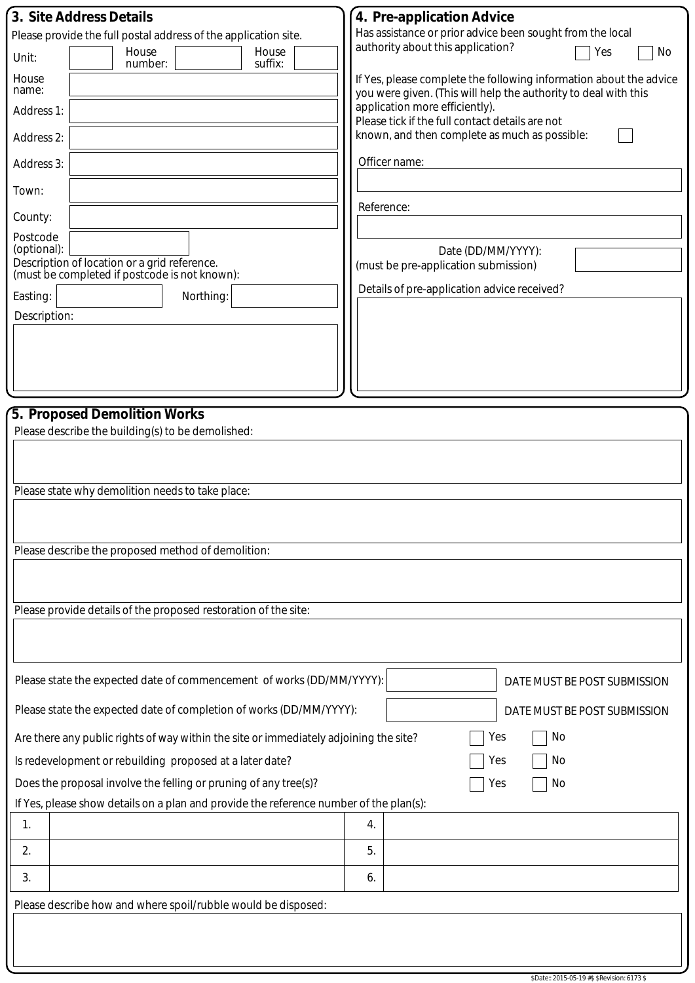| 3. Site Address Details<br>Please provide the full postal address of the application site.<br>House<br>House<br>Unit:<br>suffix:<br>number:<br>House<br>name:<br>Address 1:<br>Address 2:<br>Address 3:<br>Town:<br>County:<br>Postcode<br>(optional):<br>Description of location or a grid reference.<br>(must be completed if postcode is not known):<br>Easting:<br>Northing:<br>Description:                                                              | 4. Pre-application Advice<br>Has assistance or prior advice been sought from the local<br>authority about this application?<br>Yes<br>No<br>If Yes, please complete the following information about the advice<br>you were given. (This will help the authority to deal with this<br>application more efficiently).<br>Please tick if the full contact details are not<br>known, and then complete as much as possible:<br>Officer name:<br>Reference:<br>Date (DD/MM/YYYY):<br>(must be pre-application submission)<br>Details of pre-application advice received? |  |  |  |  |
|---------------------------------------------------------------------------------------------------------------------------------------------------------------------------------------------------------------------------------------------------------------------------------------------------------------------------------------------------------------------------------------------------------------------------------------------------------------|---------------------------------------------------------------------------------------------------------------------------------------------------------------------------------------------------------------------------------------------------------------------------------------------------------------------------------------------------------------------------------------------------------------------------------------------------------------------------------------------------------------------------------------------------------------------|--|--|--|--|
| 5. Proposed Demolition Works<br>Please describe the building(s) to be demolished:                                                                                                                                                                                                                                                                                                                                                                             |                                                                                                                                                                                                                                                                                                                                                                                                                                                                                                                                                                     |  |  |  |  |
| Please state why demolition needs to take place:<br>Please describe the proposed method of demolition:                                                                                                                                                                                                                                                                                                                                                        |                                                                                                                                                                                                                                                                                                                                                                                                                                                                                                                                                                     |  |  |  |  |
| Please provide details of the proposed restoration of the site:                                                                                                                                                                                                                                                                                                                                                                                               |                                                                                                                                                                                                                                                                                                                                                                                                                                                                                                                                                                     |  |  |  |  |
| Please state the expected date of commencement of works (DD/MM/YYYY):<br>DATE MUST BE POST SUBMISSION                                                                                                                                                                                                                                                                                                                                                         |                                                                                                                                                                                                                                                                                                                                                                                                                                                                                                                                                                     |  |  |  |  |
| Please state the expected date of completion of works (DD/MM/YYYY):<br>DATE MUST BE POST SUBMISSION<br>No<br>Are there any public rights of way within the site or immediately adjoining the site?<br>Yes<br>No<br>Is redevelopment or rebuilding proposed at a later date?<br>Yes<br>Does the proposal involve the felling or pruning of any tree(s)?<br>No<br>Yes<br>If Yes, please show details on a plan and provide the reference number of the plan(s): |                                                                                                                                                                                                                                                                                                                                                                                                                                                                                                                                                                     |  |  |  |  |
| 1.                                                                                                                                                                                                                                                                                                                                                                                                                                                            | 4.                                                                                                                                                                                                                                                                                                                                                                                                                                                                                                                                                                  |  |  |  |  |
| 2.                                                                                                                                                                                                                                                                                                                                                                                                                                                            | 5.                                                                                                                                                                                                                                                                                                                                                                                                                                                                                                                                                                  |  |  |  |  |
| 3.                                                                                                                                                                                                                                                                                                                                                                                                                                                            | 6.                                                                                                                                                                                                                                                                                                                                                                                                                                                                                                                                                                  |  |  |  |  |
| Please describe how and where spoil/rubble would be disposed:                                                                                                                                                                                                                                                                                                                                                                                                 |                                                                                                                                                                                                                                                                                                                                                                                                                                                                                                                                                                     |  |  |  |  |
|                                                                                                                                                                                                                                                                                                                                                                                                                                                               |                                                                                                                                                                                                                                                                                                                                                                                                                                                                                                                                                                     |  |  |  |  |